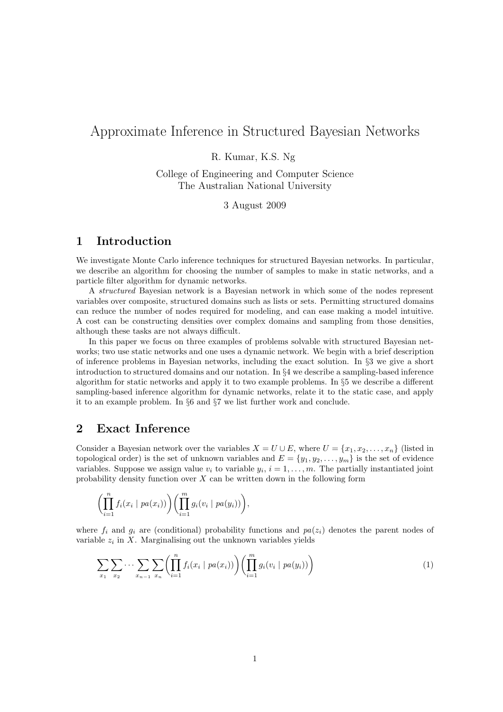# Approximate Inference in Structured Bayesian Networks

### R. Kumar, K.S. Ng

College of Engineering and Computer Science The Australian National University

#### 3 August 2009

# 1 Introduction

We investigate Monte Carlo inference techniques for structured Bayesian networks. In particular, we describe an algorithm for choosing the number of samples to make in static networks, and a particle filter algorithm for dynamic networks.

A structured Bayesian network is a Bayesian network in which some of the nodes represent variables over composite, structured domains such as lists or sets. Permitting structured domains can reduce the number of nodes required for modeling, and can ease making a model intuitive. A cost can be constructing densities over complex domains and sampling from those densities, although these tasks are not always difficult.

In this paper we focus on three examples of problems solvable with structured Bayesian networks; two use static networks and one uses a dynamic network. We begin with a brief description of inference problems in Bayesian networks, including the exact solution. In §3 we give a short introduction to structured domains and our notation. In §4 we describe a sampling-based inference algorithm for static networks and apply it to two example problems. In §5 we describe a different sampling-based inference algorithm for dynamic networks, relate it to the static case, and apply it to an example problem. In §6 and §7 we list further work and conclude.

# 2 Exact Inference

Consider a Bayesian network over the variables  $X = U \cup E$ , where  $U = \{x_1, x_2, \ldots, x_n\}$  (listed in topological order) is the set of unknown variables and  $E = \{y_1, y_2, \ldots, y_m\}$  is the set of evidence variables. Suppose we assign value  $v_i$  to variable  $y_i$ ,  $i = 1, \ldots, m$ . The partially instantiated joint probability density function over  $X$  can be written down in the following form

$$
\left(\prod_{i=1}^n f_i(x_i \mid pa(x_i))\right)\left(\prod_{i=1}^m g_i(v_i \mid pa(y_i))\right),\,
$$

where  $f_i$  and  $g_i$  are (conditional) probability functions and  $pa(z_i)$  denotes the parent nodes of variable  $z_i$  in X. Marginalising out the unknown variables yields

$$
\sum_{x_1} \sum_{x_2} \cdots \sum_{x_{n-1}} \sum_{x_n} \left( \prod_{i=1}^n f_i(x_i \mid pa(x_i)) \right) \left( \prod_{i=1}^m g_i(v_i \mid pa(y_i)) \right) \tag{1}
$$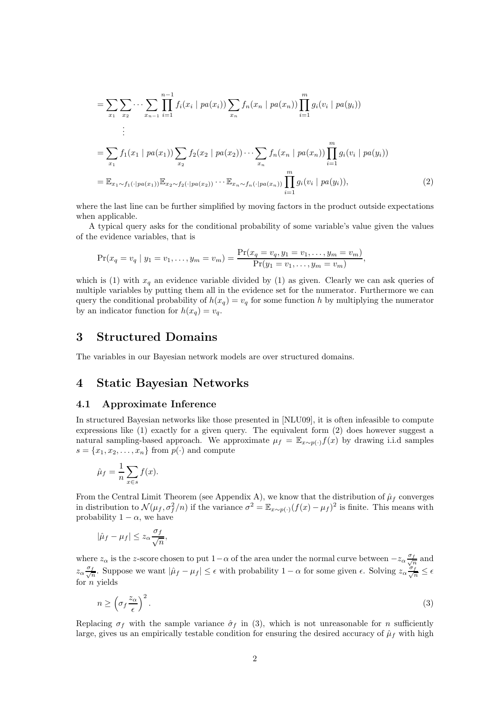$$
= \sum_{x_1} \sum_{x_2} \cdots \sum_{x_{n-1}} \prod_{i=1}^{n-1} f_i(x_i \mid pa(x_i)) \sum_{x_n} f_n(x_n \mid pa(x_n)) \prod_{i=1}^m g_i(v_i \mid pa(y_i))
$$
  
\n
$$
= \sum_{x_1} f_1(x_1 \mid pa(x_1)) \sum_{x_2} f_2(x_2 \mid pa(x_2)) \cdots \sum_{x_n} f_n(x_n \mid pa(x_n)) \prod_{i=1}^m g_i(v_i \mid pa(y_i))
$$
  
\n
$$
= \mathbb{E}_{x_1 \sim f_1(\cdot | pa(x_1))} \mathbb{E}_{x_2 \sim f_2(\cdot | pa(x_2))} \cdots \mathbb{E}_{x_n \sim f_n(\cdot | pa(x_n))} \prod_{i=1}^m g_i(v_i \mid pa(y_i)),
$$
\n(2)

where the last line can be further simplified by moving factors in the product outside expectations when applicable.

A typical query asks for the conditional probability of some variable's value given the values of the evidence variables, that is

$$
\Pr(x_q = v_q \mid y_1 = v_1, \dots, y_m = v_m) = \frac{\Pr(x_q = v_q, y_1 = v_1, \dots, y_m = v_m)}{\Pr(y_1 = v_1, \dots, y_m = v_m)},
$$

which is (1) with  $x_q$  an evidence variable divided by (1) as given. Clearly we can ask queries of multiple variables by putting them all in the evidence set for the numerator. Furthermore we can query the conditional probability of  $h(x_q) = v_q$  for some function h by multiplying the numerator by an indicator function for  $h(x_q) = v_q$ .

### 3 Structured Domains

The variables in our Bayesian network models are over structured domains.

# 4 Static Bayesian Networks

#### 4.1 Approximate Inference

In structured Bayesian networks like those presented in [NLU09], it is often infeasible to compute expressions like (1) exactly for a given query. The equivalent form (2) does however suggest a natural sampling-based approach. We approximate  $\mu_f = \mathbb{E}_{x \sim p(\cdot)} f(x)$  by drawing i.i.d samples  $s = \{x_1, x_2, \ldots, x_n\}$  from  $p(\cdot)$  and compute

$$
\hat{\mu}_f = \frac{1}{n} \sum_{x \in s} f(x).
$$

From the Central Limit Theorem (see Appendix A), we know that the distribution of  $\hat{\mu}_f$  converges in distribution to  $\mathcal{N}(\mu_f, \sigma_f^2/n)$  if the variance  $\sigma^2 = \mathbb{E}_{x \sim p(\cdot)}(f(x) - \mu_f)^2$  is finite. This means with probability  $1 - \alpha$ , we have

$$
|\hat{\mu}_f - \mu_f| \le z_\alpha \frac{\sigma_f}{\sqrt{n}},
$$

where  $z_{\alpha}$  is the z-score chosen to put  $1-\alpha$  of the area under the normal curve between  $-z_{\alpha}\frac{\sigma_f}{\sqrt{2}}$  $\frac{f}{n}$  and  $z_{\alpha} \frac{\sigma_f}{\sqrt{r}}$  $\frac{f}{n}$ . Suppose we want  $|\hat{\mu}_f - \mu_f| \leq \epsilon$  with probability  $1 - \alpha$  for some given  $\epsilon$ . Solving  $z_{\alpha} \frac{\sigma_f}{\sqrt{n}} \leq \epsilon$ for  $n$  yields

$$
n \ge \left(\sigma_f \frac{z_\alpha}{\epsilon}\right)^2. \tag{3}
$$

Replacing  $\sigma_f$  with the sample variance  $\hat{\sigma}_f$  in (3), which is not unreasonable for *n* sufficiently large, gives us an empirically testable condition for ensuring the desired accuracy of  $\hat{\mu}_f$  with high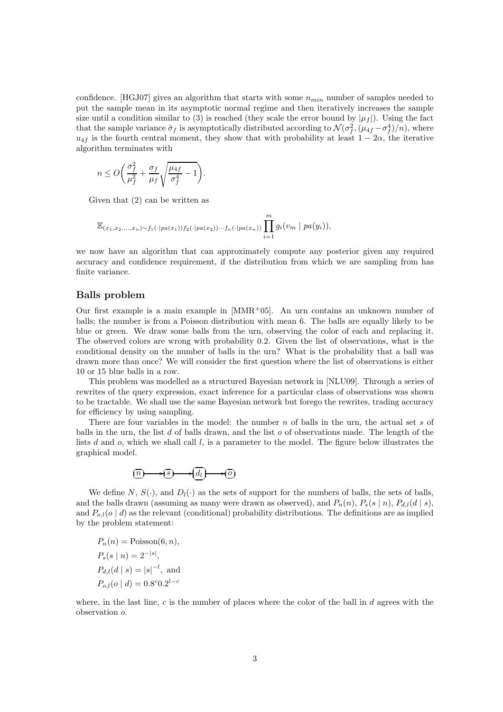confidence. [HGJ07] gives an algorithm that starts with some  $n_{min}$  number of samples needed to put the sample mean in its asymptotic normal regime and then iteratively increases the sample size until a condition similar to (3) is reached (they scale the error bound by  $|\mu_f|$ ). Using the fact that the sample variance  $\hat{\sigma}_f$  is asymptotically distributed according to  $\mathcal{N}(\sigma_f^2, (\mu_{4f} - \sigma_f^4)/n)$ , where  $u_{4f}$  is the fourth central moment, they show that with probability at least  $1 - 2\alpha$ , the iterative algorithm terminates with

$$
n \le O\bigg(\frac{\sigma_f^2}{\mu_f^2} + \frac{\sigma_f}{\mu_f}\sqrt{\frac{\mu_{4f}}{\sigma_f^4} - 1}\bigg).
$$

Given that (2) can be written as

$$
\mathbb{E}_{(x_1,x_2,\ldots,x_n)\sim f_1(\cdot|pa(x_1))f_2(\cdot|pa(x_2))\cdots f_n(\cdot|pa(x_n))}\prod_{i=1}^m g_i(v_m \mid pa(y_i)),
$$

we now have an algorithm that can approximately compute any posterior given any required accuracy and confidence requirement, if the distribution from which we are sampling from has finite variance.

#### Balls problem

Our first example is a main example in  $[MMR<sup>+</sup>05]$ . An urn contains an unknown number of balls; the number is from a Poisson distribution with mean 6. The balls are equally likely to be blue or green. We draw some balls from the urn, observing the color of each and replacing it. The observed colors are wrong with probability 0.2. Given the list of observations, what is the conditional density on the number of balls in the urn? What is the probability that a ball was drawn more than once? We will consider the first question where the list of observations is either 10 or 15 blue balls in a row.

This problem was modelled as a structured Bayesian network in [NLU09]. Through a series of rewrites of the query expression, exact inference for a particular class of observations was shown to be tractable. We shall use the same Bayesian network but forego the rewrites, trading accuracy for efficiency by using sampling.

There are four variables in the model: the number  $n$  of balls in the urn, the actual set  $s$  of balls in the urn, the list d of balls drawn, and the list  $o$  of observations made. The length of the lists d and  $o$ , which we shall call  $l$ , is a parameter to the model. The figure below illustrates the graphical model.

$$
(n) \longrightarrow (s) \longrightarrow (d_1) \longrightarrow (o)
$$

We define N,  $S(\cdot)$ , and  $D_l(\cdot)$  as the sets of support for the numbers of balls, the sets of balls, and the balls drawn (assuming as many were drawn as observed), and  $P_n(n)$ ,  $P_s(s | n)$ ,  $P_{d,l}(d | s)$ , and  $P_{o,l}(o | d)$  as the relevant (conditional) probability distributions. The definitions are as implied by the problem statement:

 $P_n(n) = \text{Poisson}(6, n),$  $P_s(s | n) = 2^{-|s|},$  $P_{d,l}(d \mid s) = |s|^{-l}, \text{ and}$  $P_{o,l}(o \mid d) = 0.8^{\circ}0.2^{l-c}$ 

where, in the last line,  $c$  is the number of places where the color of the ball in  $d$  agrees with the observation o.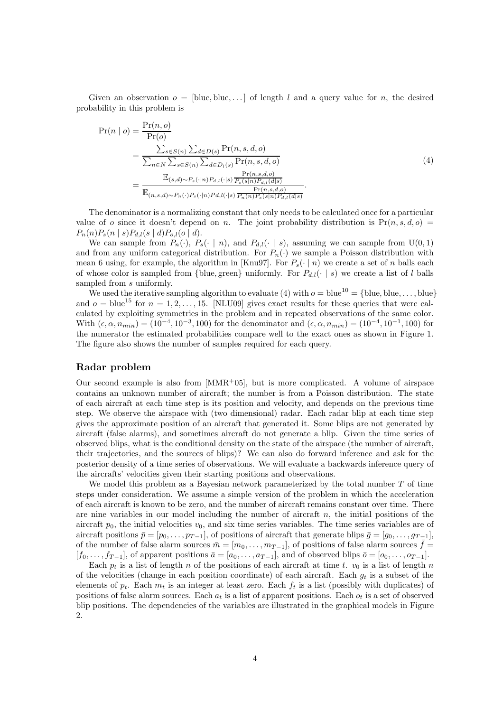Given an observation  $o = \text{blue}, \text{blue}, \ldots$  of length l and a query value for n, the desired probability in this problem is

$$
Pr(n | o) = \frac{Pr(n, o)}{Pr(o)} = \frac{\sum_{s \in S(n)} \sum_{d \in D(s)} Pr(n, s, d, o)}{\sum_{n \in N} \sum_{s \in S(n)} \sum_{d \in D_l(s)} Pr(n, s, d, o)} = \frac{\mathbb{E}_{(s, d) \sim P_s(\cdot | n) P_{d, l}(\cdot | s)} \frac{Pr(n, s, d, o)}{P_s(s | n) P_{d, l}(d | s)}}{\mathbb{E}_{(n, s, d) \sim P_n(\cdot) P_s(\cdot | n) P_{d, l}(\cdot | s)} \frac{Pr(n, s, d, o)}{P_n(n) P_s(s | n) P_{d, l}(d | s)}}.
$$
\n(4)

The denominator is a normalizing constant that only needs to be calculated once for a particular value of o since it doesn't depend on n. The joint probability distribution is  $Pr(n, s, d, o)$  $P_n(n)P_s(n \mid s)P_{d,l}(s \mid d)P_{o,l}(o \mid d).$ 

We can sample from  $P_n(\cdot)$ ,  $P_s(\cdot | n)$ , and  $P_{d,l}(\cdot | s)$ , assuming we can sample from  $U(0, 1)$ and from any uniform categorical distribution. For  $P_n(\cdot)$  we sample a Poisson distribution with mean 6 using, for example, the algorithm in [Knu97]. For  $P_s(\cdot | n)$  we create a set of n balls each of whose color is sampled from {blue, green} uniformly. For  $P_{d,l}(\cdot | s)$  we create a list of l balls sampled from s uniformly.

We used the iterative sampling algorithm to evaluate (4) with  $o = blue^{10} = \{blue, blue, \ldots, blue\}$ and  $o = blue^{15}$  for  $n = 1, 2, ..., 15$ . [NLU09] gives exact results for these queries that were calculated by exploiting symmetries in the problem and in repeated observations of the same color. With  $(\epsilon, \alpha, n_{min}) = (10^{-4}, 10^{-3}, 100)$  for the denominator and  $(\epsilon, \alpha, n_{min}) = (10^{-4}, 10^{-1}, 100)$  for the numerator the estimated probabilities compare well to the exact ones as shown in Figure 1. The figure also shows the number of samples required for each query.

#### Radar problem

Our second example is also from  $[MMR^+05]$ , but is more complicated. A volume of airspace contains an unknown number of aircraft; the number is from a Poisson distribution. The state of each aircraft at each time step is its position and velocity, and depends on the previous time step. We observe the airspace with (two dimensional) radar. Each radar blip at each time step gives the approximate position of an aircraft that generated it. Some blips are not generated by aircraft (false alarms), and sometimes aircraft do not generate a blip. Given the time series of observed blips, what is the conditional density on the state of the airspace (the number of aircraft, their trajectories, and the sources of blips)? We can also do forward inference and ask for the posterior density of a time series of observations. We will evaluate a backwards inference query of the aircrafts' velocities given their starting positions and observations.

We model this problem as a Bayesian network parameterized by the total number  $T$  of time steps under consideration. We assume a simple version of the problem in which the acceleration of each aircraft is known to be zero, and the number of aircraft remains constant over time. There are nine variables in our model including the number of aircraft  $n$ , the initial positions of the aircraft  $p_0$ , the initial velocities  $v_0$ , and six time series variables. The time series variables are of aircraft positions  $\bar{p} = [p_0, \ldots, p_{T-1}]$ , of positions of aircraft that generate blips  $\bar{g} = [g_0, \ldots, g_{T-1}]$ , of the number of false alarm sources  $\bar{m} = [m_0, \ldots, m_{T-1}]$ , of positions of false alarm sources  $f =$  $[f_0, \ldots, f_{T-1}]$ , of apparent positions  $\bar{a} = [a_0, \ldots, a_{T-1}]$ , and of observed blips  $\bar{o} = [o_0, \ldots, o_{T-1}]$ .

Each  $p_t$  is a list of length n of the positions of each aircraft at time t.  $v_0$  is a list of length n of the velocities (change in each position coordinate) of each aircraft. Each  $g_t$  is a subset of the elements of  $p_t$ . Each  $m_t$  is an integer at least zero. Each  $f_t$  is a list (possibly with duplicates) of positions of false alarm sources. Each  $a_t$  is a list of apparent positions. Each  $o_t$  is a set of observed blip positions. The dependencies of the variables are illustrated in the graphical models in Figure 2.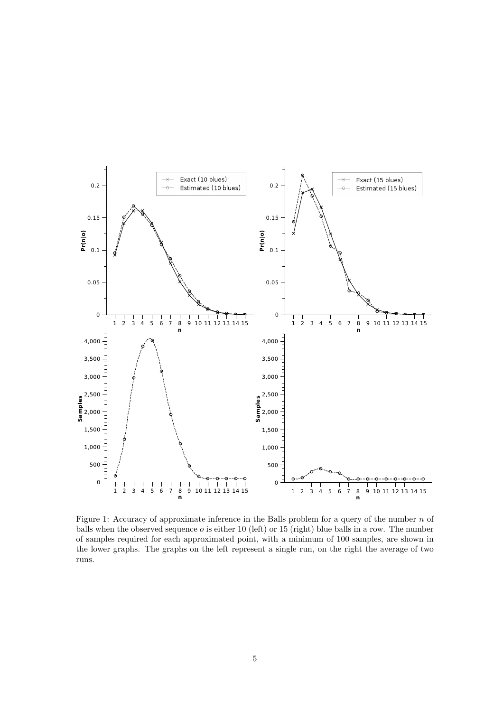

Figure 1: Accuracy of approximate inference in the Balls problem for a query of the number  $n$  of balls when the observed sequence  $o$  is either 10 (left) or 15 (right) blue balls in a row. The number of samples required for each approximated point, with a minimum of 100 samples, are shown in the lower graphs. The graphs on the left represent a single run, on the right the average of two runs.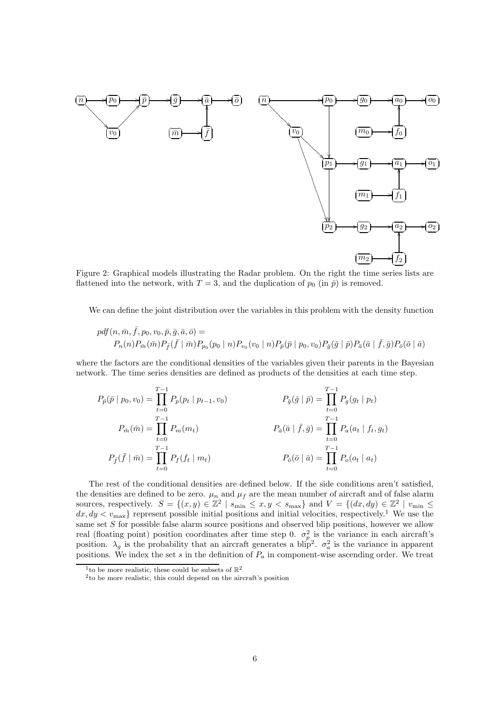

Figure 2: Graphical models illustrating the Radar problem. On the right the time series lists are flattened into the network, with  $T = 3$ , and the duplication of  $p_0$  (in  $\bar{p}$ ) is removed.

We can define the joint distribution over the variables in this problem with the density function

$$
pdf(n, \bar{m}, \bar{f}, p_0, v_0, \bar{p}, \bar{g}, \bar{a}, \bar{o}) =
$$
  
\n
$$
P_n(n)P_{\bar{m}}(\bar{m})P_{\bar{f}}(\bar{f} | \bar{m})P_{p_0}(p_0 | n)P_{v_0}(v_0 | n)P_{\bar{p}}(\bar{p} | p_0, v_0)P_{\bar{g}}(\bar{g} | \bar{p})P_{\bar{a}}(\bar{a} | \bar{f}, \bar{g})P_{\bar{o}}(\bar{o} | \bar{a})
$$

where the factors are the conditional densities of the variables given their parents in the Bayesian network. The time series densities are defined as products of the densities at each time step.

$$
P_{\bar{p}}(\bar{p} | p_0, v_0) = \prod_{t=0}^{T-1} P_p(p_t | p_{t-1}, v_0)
$$
\n
$$
P_{\bar{g}}(\bar{g} | \bar{p}) = \prod_{t=0}^{T-1} P_g(g_t | p_t)
$$
\n
$$
P_{\bar{m}}(\bar{m}) = \prod_{t=0}^{T-1} P_m(m_t)
$$
\n
$$
P_{\bar{a}}(\bar{a} | \bar{f}, \bar{g}) = \prod_{t=0}^{T-1} P_a(a_t | f_t, g_t)
$$
\n
$$
P_{\bar{f}}(\bar{f} | \bar{m}) = \prod_{t=0}^{T-1} P_f(f_t | m_t)
$$
\n
$$
P_{\bar{o}}(\bar{o} | \bar{a}) = \prod_{t=0}^{T-1} P_o(o_t | a_t)
$$

The rest of the conditional densities are defined below. If the side conditions aren't satisfied, the densities are defined to be zero.  $\mu_n$  and  $\mu_f$  are the mean number of aircraft and of false alarm sources, respectively.  $S = \{(x, y) \in \mathbb{Z}^2 \mid s_{\min} \le x, y < s_{\max}\}\$ and  $V = \{(dx, dy) \in \mathbb{Z}^2 \mid v_{\min} \le x, y \le y_{\min}\}\$  $dx, dy < v_{\text{max}}$  represent possible initial positions and initial velocities, respectively.<sup>1</sup> We use the same set  $S$  for possible false alarm source positions and observed blip positions, however we allow real (floating point) position coordinates after time step 0.  $\sigma_p^2$  is the variance in each aircraft's position.  $\lambda_g$  is the probability that an aircraft generates a blip<sup>2</sup>.  $\sigma_a^2$  is the variance in apparent positions. We index the set s in the definition of  $P_a$  in component-wise ascending order. We treat

<sup>&</sup>lt;sup>1</sup> to be more realistic, these could be subsets of  $\mathbb{R}^2$ 

<sup>2</sup> to be more realistic, this could depend on the aircraft's position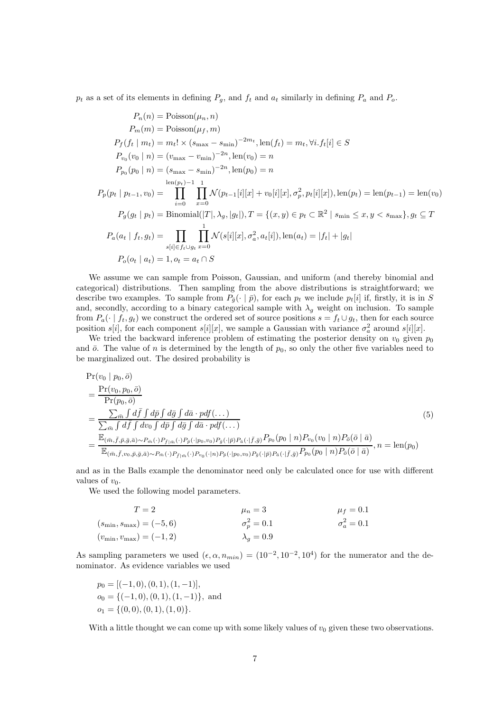$p_t$  as a set of its elements in defining  $P_q$ , and  $f_t$  and  $a_t$  similarly in defining  $P_q$  and  $P_q$ .

$$
P_n(n) = \text{Poisson}(\mu_n, n)
$$
  
\n
$$
P_m(m) = \text{Poisson}(\mu_f, m)
$$
  
\n
$$
P_f(f_t | m_t) = m_t! \times (s_{\text{max}} - s_{\text{min}})^{-2m_t}, \text{len}(f_t) = m_t, \forall i. f_t[i] \in S
$$
  
\n
$$
P_{v_0}(v_0 | n) = (v_{\text{max}} - v_{\text{min}})^{-2n}, \text{len}(v_0) = n
$$
  
\n
$$
P_{p_0}(p_0 | n) = (s_{\text{max}} - s_{\text{min}})^{-2n}, \text{len}(p_0) = n
$$
  
\n
$$
\text{len}(p_t) - 1 - 1
$$
  
\n
$$
P_p(p_t | p_{t-1}, v_0) = \prod_{i=0}^{\text{len}(p_t)-1} \prod_{x=0}^{\text{len}(p_t)} \mathcal{N}(p_{t-1}[i][x] + v_0[i][x], \sigma_p^2, p_t[i][x]), \text{len}(p_t) = \text{len}(p_{t-1}) = \text{len}(v_0)
$$
  
\n
$$
P_g(g_t | p_t) = \text{Binomial}(|T|, \lambda_g, |g_t|), T = \{(x, y) \in p_t \subset \mathbb{R}^2 \mid s_{\text{min}} \le x, y < s_{\text{max}}\}, g_t \subseteq T
$$
  
\n
$$
P_a(a_t | f_t, g_t) = \prod_{s[i] \in f_t \cup g_t} \prod_{x=0}^{\text{l}} \mathcal{N}(s[i][x], \sigma_a^2, a_t[i]), \text{len}(a_t) = |f_t| + |g_t|
$$
  
\n
$$
P_o(o_t | a_t) = 1, o_t = a_t \cap S
$$

We assume we can sample from Poisson, Gaussian, and uniform (and thereby binomial and categorical) distributions. Then sampling from the above distributions is straightforward; we describe two examples. To sample from  $P_{\bar{g}}(\cdot | \bar{p})$ , for each  $p_t$  we include  $p_t[i]$  if, firstly, it is in S and, secondly, according to a binary categorical sample with  $\lambda_g$  weight on inclusion. To sample from  $P_a(\cdot \mid f_t, g_t)$  we construct the ordered set of source positions  $s = f_t \cup g_t$ , then for each source position  $s[i]$ , for each component  $s[i][x]$ , we sample a Gaussian with variance  $\sigma_a^2$  around  $s[i][x]$ .

We tried the backward inference problem of estimating the posterior density on  $v_0$  given  $p_0$ and  $\bar{o}$ . The value of n is determined by the length of  $p_0$ , so only the other five variables need to be marginalized out. The desired probability is

$$
Pr(v_0 | p_0, \bar{o})
$$
\n
$$
= \frac{Pr(v_0, p_0, \bar{o})}{Pr(p_0, \bar{o})}
$$
\n
$$
= \frac{\sum_{\bar{m}} \int d\bar{f} \int d\bar{p} \int d\bar{g} \int d\bar{a} \cdot p df(\ldots)}{\sum_{\bar{m}} \int d\bar{f} \int dvo \int d\bar{p} \int d\bar{g} \int d\bar{a} \cdot p df(\ldots)}
$$
\n
$$
= \frac{\mathbb{E}_{(\bar{m}, \bar{f}, \bar{p}, \bar{g}, \bar{a}) \sim P_{\bar{m}}(\cdot) P_{\bar{f} | \bar{m}}(\cdot) P_{\bar{p}}(\cdot | p_0, v_0) P_{\bar{g}}(\cdot | \bar{p}) P_{\bar{a}}(\cdot | \bar{f}, \bar{g}) P_{p_0}(p_0 | n) P_{v_0}(v_0 | n) P_{\bar{o}}(\bar{o} | \bar{a})}{\mathbb{E}_{(\bar{m}, \bar{f}, v_0, \bar{p}, \bar{g}, \bar{a}) \sim P_{\bar{m}}(\cdot) P_{\bar{f} | \bar{m}}(\cdot) P_{v_0}(\cdot | n) P_{\bar{f}}(\cdot | p_0, v_0) P_{\bar{g}}(\cdot | \bar{p}) P_{\bar{a}}(\cdot | \bar{f}, \bar{g}) P_{p_0}(p_0 | n) P_{\bar{o}}(\bar{o} | \bar{a})}, n = \text{len}(p_0)
$$
\n(5)

and as in the Balls example the denominator need only be calculated once for use with different values of  $v_0$ .

We used the following model parameters.

$$
T = 2 \qquad \mu_n = 3 \qquad \mu_f = 0.1
$$
  
\n
$$
(s_{\min}, s_{\max}) = (-5, 6) \qquad \sigma_p^2 = 0.1 \qquad \sigma_a^2 = 0.1
$$
  
\n
$$
(v_{\min}, v_{\max}) = (-1, 2) \qquad \lambda_g = 0.9
$$

As sampling parameters we used  $(\epsilon, \alpha, n_{min}) = (10^{-2}, 10^{-2}, 10^{4})$  for the numerator and the denominator. As evidence variables we used

$$
p_0 = [(-1, 0), (0, 1), (1, -1)],
$$
  
\n
$$
o_0 = \{(-1, 0), (0, 1), (1, -1)\},
$$
 and  
\n
$$
o_1 = \{(0, 0), (0, 1), (1, 0)\}.
$$

With a little thought we can come up with some likely values of  $v_0$  given these two observations.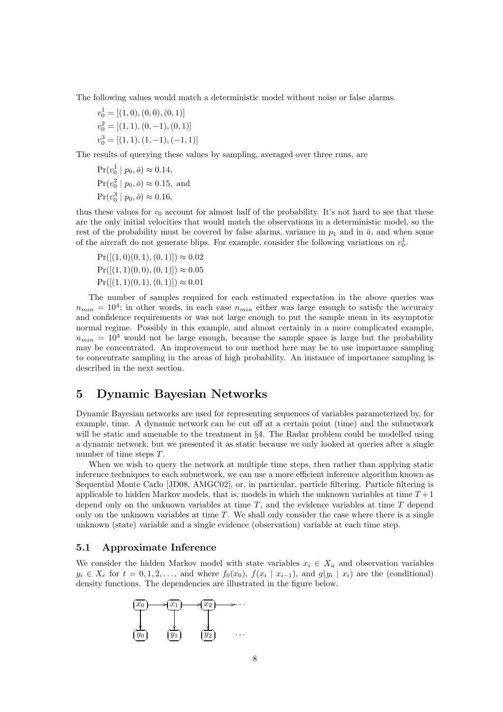The following values would match a deterministic model without noise or false alarms.

 $v_0^1 = [(1,0), (0,0), (0,1)]$  $v_0^2 = [(1, 1), (0, -1), (0, 1)]$  $v_0^3 = [(1, 1), (1, -1), (-1, 1)]$ 

The results of querying these values by sampling, averaged over three runs, are

 $Pr(v_0^1 | p_0, \bar{o}) \approx 0.14,$  $Pr(v_0^2 | p_0, \bar{o}) \approx 0.15$ , and  $Pr(v_0^3 | p_0, \bar{o}) \approx 0.16,$ 

thus these values for  $v_0$  account for almost half of the probability. It's not hard to see that these are the only initial velocities that would match the observations in a deterministic model, so the rest of the probability must be covered by false alarms, variance in  $p_1$  and in  $\bar{a}$ , and when some of the aircraft do not generate blips. For example, consider the following variations on  $v_0^1$ .

 $Pr([(1, 0)(0, 1), (0, 1)]) \approx 0.02$  $Pr([(1, 1)(0, 0), (0, 1)]) \approx 0.05$  $Pr([(1, 1)(0, 1), (0, 1)]) \approx 0.01$ 

The number of samples required for each estimated expectation in the above queries was  $n_{min} = 10^4$ ; in other words, in each case  $n_{min}$  either was large enough to satisfy the accuracy and confidence requirements or was not large enough to put the sample mean in its asymptotic normal regime. Possibly in this example, and almost certainly in a more complicated example,  $n_{min} = 10^4$  would not be large enough, because the sample space is large but the probability may be concentrated. An improvement to our method here may be to use importance sampling to concentrate sampling in the areas of high probability. An instance of importance sampling is described in the next section.

# 5 Dynamic Bayesian Networks

Dynamic Bayesian networks are used for representing sequences of variables parameterized by, for example, time. A dynamic network can be cut off at a certain point (time) and the subnetwork will be static and amenable to the treatment in  $\S 4$ . The Radar problem could be modelled using a dynamic network, but we presented it as static because we only looked at queries after a single number of time steps  $T$ .

When we wish to query the network at multiple time steps, then rather than applying static inference techniques to each subnetwork, we can use a more efficient inference algorithm known as Sequential Monte Carlo [JD08, AMGC02], or, in particular, particle filtering. Particle filtering is applicable to hidden Markov models, that is, models in which the unknown variables at time  $T+1$ depend only on the unknown variables at time  $T$ , and the evidence variables at time  $T$  depend only on the unknown variables at time  $T$ . We shall only consider the case where there is a single unknown (state) variable and a single evidence (observation) variable at each time step.

#### 5.1 Approximate Inference

We consider the hidden Markov model with state variables  $x_i \in X_u$  and observation variables  $y_i \in X_e$  for  $t = 0, 1, 2, \ldots$ , and where  $f_0(x_0), f(x_i | x_{i-1})$ , and  $g(y_i | x_i)$  are the (conditional) density functions. The dependencies are illustrated in the figure below.

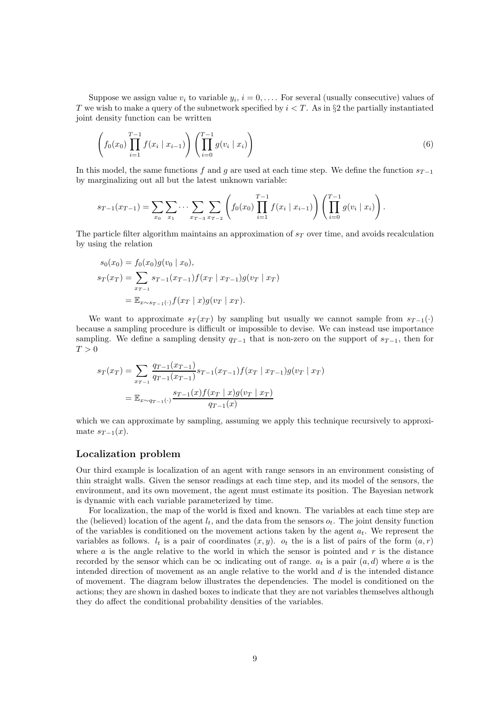Suppose we assign value  $v_i$  to variable  $y_i$ ,  $i = 0, \ldots$  For several (usually consecutive) values of T we wish to make a query of the subnetwork specified by  $i < T$ . As in §2 the partially instantiated joint density function can be written

$$
\left(f_0(x_0)\prod_{i=1}^{T-1}f(x_i \mid x_{i-1})\right)\left(\prod_{i=0}^{T-1}g(v_i \mid x_i)\right) \tag{6}
$$

In this model, the same functions f and g are used at each time step. We define the function  $s_{T-1}$ by marginalizing out all but the latest unknown variable:

$$
s_{T-1}(x_{T-1}) = \sum_{x_0} \sum_{x_1} \cdots \sum_{x_{T-3}} \sum_{x_{T-2}} \left( f_0(x_0) \prod_{i=1}^{T-1} f(x_i \mid x_{i-1}) \right) \left( \prod_{i=0}^{T-1} g(v_i \mid x_i) \right).
$$

The particle filter algorithm maintains an approximation of  $s_T$  over time, and avoids recalculation by using the relation

$$
s_0(x_0) = f_0(x_0)g(v_0 \mid x_0),
$$
  
\n
$$
s_T(x_T) = \sum_{x_{T-1}} s_{T-1}(x_{T-1})f(x_T \mid x_{T-1})g(v_T \mid x_T)
$$
  
\n
$$
= \mathbb{E}_{x \sim s_{T-1}(\cdot)} f(x_T \mid x)g(v_T \mid x_T).
$$

We want to approximate  $s_T(x_T)$  by sampling but usually we cannot sample from  $s_{T-1}(\cdot)$ because a sampling procedure is difficult or impossible to devise. We can instead use importance sampling. We define a sampling density  $q_{T-1}$  that is non-zero on the support of  $s_{T-1}$ , then for  $T > 0$ 

$$
s_T(x_T) = \sum_{x_{T-1}} \frac{q_{T-1}(x_{T-1})}{q_{T-1}(x_{T-1})} s_{T-1}(x_{T-1}) f(x_T | x_{T-1}) g(v_T | x_T)
$$
  
= 
$$
\mathbb{E}_{x \sim q_{T-1}(\cdot)} \frac{s_{T-1}(x) f(x_T | x) g(v_T | x_T)}{q_{T-1}(x)}
$$

which we can approximate by sampling, assuming we apply this technique recursively to approximate  $s_{T-1}(x)$ .

#### Localization problem

Our third example is localization of an agent with range sensors in an environment consisting of thin straight walls. Given the sensor readings at each time step, and its model of the sensors, the environment, and its own movement, the agent must estimate its position. The Bayesian network is dynamic with each variable parameterized by time.

For localization, the map of the world is fixed and known. The variables at each time step are the (believed) location of the agent  $l_t$ , and the data from the sensors  $o_t$ . The joint density function of the variables is conditioned on the movement actions taken by the agent  $a_t$ . We represent the variables as follows.  $l_t$  is a pair of coordinates  $(x, y)$ .  $o_t$  the is a list of pairs of the form  $(a, r)$ where  $\alpha$  is the angle relative to the world in which the sensor is pointed and  $r$  is the distance recorded by the sensor which can be  $\infty$  indicating out of range.  $a_t$  is a pair  $(a, d)$  where a is the intended direction of movement as an angle relative to the world and  $d$  is the intended distance of movement. The diagram below illustrates the dependencies. The model is conditioned on the actions; they are shown in dashed boxes to indicate that they are not variables themselves although they do affect the conditional probability densities of the variables.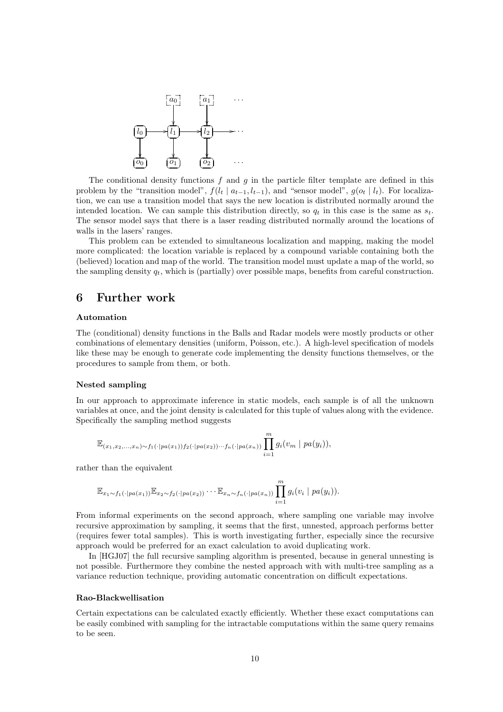

The conditional density functions  $f$  and  $g$  in the particle filter template are defined in this problem by the "transition model",  $f(l_t | a_{t-1}, l_{t-1})$ , and "sensor model",  $g(o_t | l_t)$ . For localization, we can use a transition model that says the new location is distributed normally around the intended location. We can sample this distribution directly, so  $q_t$  in this case is the same as  $s_t$ . The sensor model says that there is a laser reading distributed normally around the locations of walls in the lasers' ranges.

This problem can be extended to simultaneous localization and mapping, making the model more complicated: the location variable is replaced by a compound variable containing both the (believed) location and map of the world. The transition model must update a map of the world, so the sampling density  $q_t$ , which is (partially) over possible maps, benefits from careful construction.

### 6 Further work

#### Automation

The (conditional) density functions in the Balls and Radar models were mostly products or other combinations of elementary densities (uniform, Poisson, etc.). A high-level specification of models like these may be enough to generate code implementing the density functions themselves, or the procedures to sample from them, or both.

#### Nested sampling

In our approach to approximate inference in static models, each sample is of all the unknown variables at once, and the joint density is calculated for this tuple of values along with the evidence. Specifically the sampling method suggests

$$
\mathbb{E}_{(x_1,x_2,\ldots,x_n)\sim f_1(\cdot|pa(x_1))f_2(\cdot|pa(x_2))\cdots f_n(\cdot|pa(x_n))}\prod_{i=1}^m g_i(v_m \mid pa(y_i)),
$$

rather than the equivalent

$$
\mathbb{E}_{x_1 \sim f_1(\cdot | pa(x_1))} \mathbb{E}_{x_2 \sim f_2(\cdot | pa(x_2))} \cdots \mathbb{E}_{x_n \sim f_n(\cdot | pa(x_n))} \prod_{i=1}^m g_i(v_i \mid pa(y_i)).
$$

From informal experiments on the second approach, where sampling one variable may involve recursive approximation by sampling, it seems that the first, unnested, approach performs better (requires fewer total samples). This is worth investigating further, especially since the recursive approach would be preferred for an exact calculation to avoid duplicating work.

In [HGJ07] the full recursive sampling algorithm is presented, because in general unnesting is not possible. Furthermore they combine the nested approach with with multi-tree sampling as a variance reduction technique, providing automatic concentration on difficult expectations.

#### Rao-Blackwellisation

Certain expectations can be calculated exactly efficiently. Whether these exact computations can be easily combined with sampling for the intractable computations within the same query remains to be seen.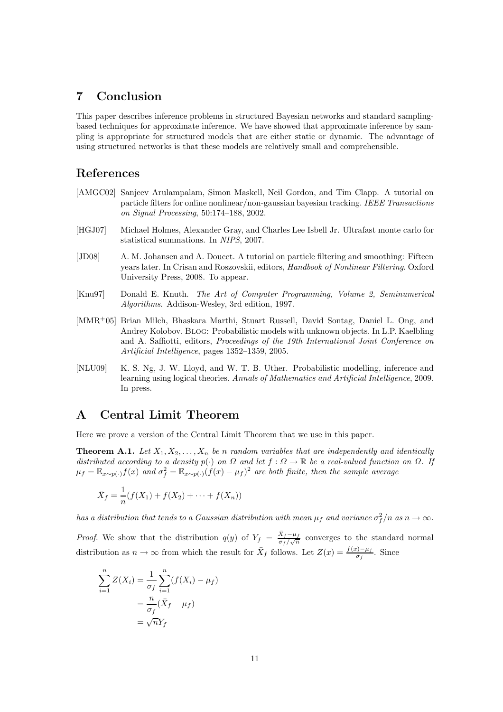# 7 Conclusion

This paper describes inference problems in structured Bayesian networks and standard samplingbased techniques for approximate inference. We have showed that approximate inference by sampling is appropriate for structured models that are either static or dynamic. The advantage of using structured networks is that these models are relatively small and comprehensible.

# References

- [AMGC02] Sanjeev Arulampalam, Simon Maskell, Neil Gordon, and Tim Clapp. A tutorial on particle filters for online nonlinear/non-gaussian bayesian tracking. IEEE Transactions on Signal Processing, 50:174–188, 2002.
- [HGJ07] Michael Holmes, Alexander Gray, and Charles Lee Isbell Jr. Ultrafast monte carlo for statistical summations. In NIPS, 2007.
- [JD08] A. M. Johansen and A. Doucet. A tutorial on particle filtering and smoothing: Fifteen years later. In Crisan and Roszovskii, editors, Handbook of Nonlinear Filtering. Oxford University Press, 2008. To appear.
- [Knu97] Donald E. Knuth. The Art of Computer Programming, Volume 2, Seminumerical Algorithms. Addison-Wesley, 3rd edition, 1997.
- [MMR<sup>+</sup>05] Brian Milch, Bhaskara Marthi, Stuart Russell, David Sontag, Daniel L. Ong, and Andrey Kolobov. Blog: Probabilistic models with unknown objects. In L.P. Kaelbling and A. Saffiotti, editors, Proceedings of the 19th International Joint Conference on Artificial Intelligence, pages 1352–1359, 2005.
- [NLU09] K. S. Ng, J. W. Lloyd, and W. T. B. Uther. Probabilistic modelling, inference and learning using logical theories. Annals of Mathematics and Artificial Intelligence, 2009. In press.

# A Central Limit Theorem

Here we prove a version of the Central Limit Theorem that we use in this paper.

**Theorem A.1.** Let  $X_1, X_2, \ldots, X_n$  be n random variables that are independently and identically distributed according to a density  $p(\cdot)$  on  $\Omega$  and let  $f: \Omega \to \mathbb{R}$  be a real-valued function on  $\Omega$ . If  $\mu_f = \mathbb{E}_{x \sim p(\cdot)} f(x)$  and  $\sigma_f^2 = \mathbb{E}_{x \sim p(\cdot)} (f(x) - \mu_f)^2$  are both finite, then the sample average

$$
\bar{X}_f = \frac{1}{n}(f(X_1) + f(X_2) + \dots + f(X_n))
$$

has a distribution that tends to a Gaussian distribution with mean  $\mu_f$  and variance  $\sigma_f^2/n$  as  $n\to\infty.$ 

*Proof.* We show that the distribution  $q(y)$  of  $Y_f = \frac{\bar{X}_f - \mu_f}{\sigma_f/\sqrt{n}}$  converges to the standard normal distribution as  $n \to \infty$  from which the result for  $\bar{X}_f$  follows. Let  $Z(x) = \frac{f(x) - \mu_f}{\sigma_f}$ . Since

$$
\sum_{i=1}^{n} Z(X_i) = \frac{1}{\sigma_f} \sum_{i=1}^{n} (f(X_i) - \mu_f)
$$

$$
= \frac{n}{\sigma_f} (\bar{X}_f - \mu_f)
$$

$$
= \sqrt{n} Y_f
$$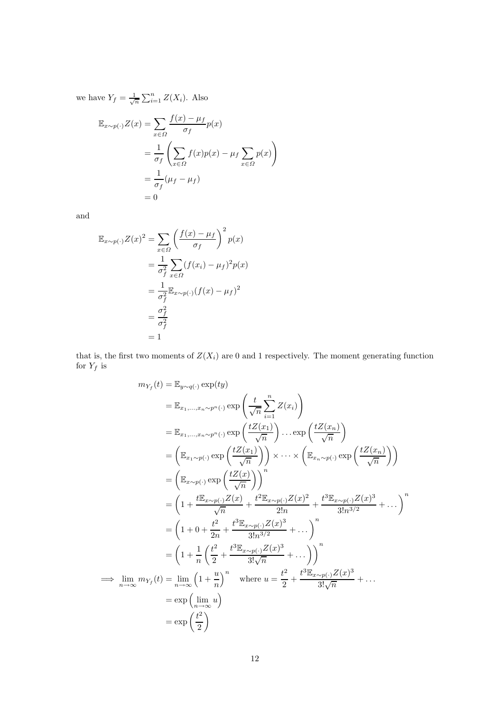we have  $Y_f = \frac{1}{\sqrt{n}} \sum_{i=1}^n Z(X_i)$ . Also

$$
\mathbb{E}_{x \sim p(\cdot)} Z(x) = \sum_{x \in \Omega} \frac{f(x) - \mu_f}{\sigma_f} p(x)
$$
  
= 
$$
\frac{1}{\sigma_f} \left( \sum_{x \in \Omega} f(x) p(x) - \mu_f \sum_{x \in \Omega} p(x) \right)
$$
  
= 
$$
\frac{1}{\sigma_f} (\mu_f - \mu_f)
$$
  
= 0

and

$$
\mathbb{E}_{x \sim p(\cdot)} Z(x)^2 = \sum_{x \in \Omega} \left( \frac{f(x) - \mu_f}{\sigma_f} \right)^2 p(x)
$$
  
= 
$$
\frac{1}{\sigma_f^2} \sum_{x \in \Omega} (f(x_i) - \mu_f)^2 p(x)
$$
  
= 
$$
\frac{1}{\sigma_f^2} \mathbb{E}_{x \sim p(\cdot)} (f(x) - \mu_f)^2
$$
  
= 
$$
\frac{\sigma_f^2}{\sigma_f^2}
$$
  
= 1

that is, the first two moments of  $Z(X_i)$  are 0 and 1 respectively. The moment generating function for  $Y_f$  is

$$
m_{Y_f}(t) = \mathbb{E}_{y \sim q(\cdot)} \exp(ty)
$$
  
\n
$$
= \mathbb{E}_{x_1, \dots, x_n \sim p^n(\cdot)} \exp\left(\frac{t}{\sqrt{n}} \sum_{i=1}^n Z(x_i)\right)
$$
  
\n
$$
= \mathbb{E}_{x_1, \dots, x_n \sim p^n(\cdot)} \exp\left(\frac{tZ(x_1)}{\sqrt{n}}\right) \dots \exp\left(\frac{tZ(x_n)}{\sqrt{n}}\right)
$$
  
\n
$$
= \left(\mathbb{E}_{x_1 \sim p(\cdot)} \exp\left(\frac{tZ(x_1)}{\sqrt{n}}\right)\right) \times \dots \times \left(\mathbb{E}_{x_n \sim p(\cdot)} \exp\left(\frac{tZ(x_n)}{\sqrt{n}}\right)\right)
$$
  
\n
$$
= \left(\mathbb{E}_{x \sim p(\cdot)} \exp\left(\frac{tZ(x)}{\sqrt{n}}\right)\right)^n
$$
  
\n
$$
= \left(1 + \frac{t\mathbb{E}_{x \sim p(\cdot)} Z(x)}{\sqrt{n}} + \frac{t^2 \mathbb{E}_{x \sim p(\cdot)} Z(x)^2}{2!n} + \frac{t^3 \mathbb{E}_{x \sim p(\cdot)} Z(x)^3}{3!n^{3/2}} + \dots\right)^n
$$
  
\n
$$
= \left(1 + 0 + \frac{t^2}{2n} + \frac{t^3 \mathbb{E}_{x \sim p(\cdot)} Z(x)^3}{3!n^{3/2}} + \dots\right)^n
$$
  
\n
$$
\implies \lim_{n \to \infty} m_{Y_f}(t) = \lim_{n \to \infty} \left(1 + \frac{u}{n}\right)^n \quad \text{where } u = \frac{t^2}{2} + \frac{t^3 \mathbb{E}_{x \sim p(\cdot)} Z(x)^3}{3! \sqrt{n}} + \dots
$$
  
\n
$$
= \exp\left(\lim_{n \to \infty} u\right)
$$
  
\n
$$
= \exp\left(\frac{t^2}{2}\right)
$$